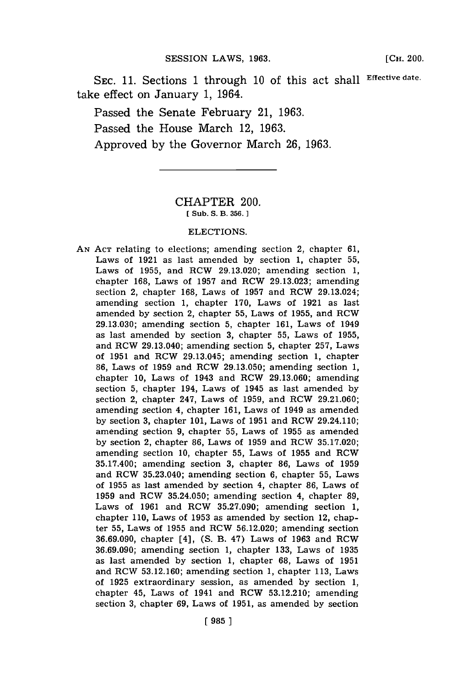**SEC. 11.** Sections **1** through **10** of this act shall **Effective date.** take effect on January **1,** 1964.

Passed the Senate February 21, **1963.** Passed the House March 12, **1963.** Approved **by** the Governor March **26, 1963.**

## CHAPTER 200. **[ Sub. S. B. 356. 1**

## ELECTIONS.

**AN ACT** relating to elections; amending section 2, chapter **61,** Laws of **1921** as last amended **by** section **1,** chapter **55,** Laws of **1955,** and RCW **29.13.020;** amending section **1,** chapter **168,** Laws of **1957** and RCW **29.13.023;** amending section 2, chapter **168,** Laws of **1957** and RCW 29.13.024; amending section **1,** chapter **170,** Laws of **1921** as last amended **by** section 2, chapter **55,** Laws of **1955,** and RCW **29.13.030;** amending section **5,** chapter **161,** Laws of 1949 as last amended **by** section **3,** chapter **55,** Laws of **1955,** and RCW 29.13.040; amending section **5,** chapter **257,** Laws of **1951** and RCW 29.13.045; amending section **1,** chapter **86,** Laws of **1959** and RCW **29.13.050;** amending section **1,** chapter **10,** Laws of 1943 and RCW **29.13.060;** amending section **5,** chapter 194, Laws of 1945 as last amended **by** section 2, chapter 247, Laws of **1959,** and RCW **29.21.060;** amending section 4, chapter **161,** Laws of 1949 as amended **by** section **3,** chapter **101,** Laws of **1951** and RCW 29.24.110; amending section **9,** chapter **55,** Laws of **1955** as amended **by** section 2, chapter **86,** Laws of **1959** and RCW **35.17.020;** amending section **10,** chapter **55,** Laws of **1955** and RCW **35.17.400;** amending section **3,** chapter **86,** Laws of **1959** and RCW 35.23.040; amending section **6,** chapter **55,** Laws of **1955** as last amended **by** section 4, chapter **86,** Laws of **1959** and RCW **35.24.050;** amending section 4, chapter **89,** Laws of **1961** and RCW **35.27.090;** amending section **1,** chapter **110,** Laws of **1953** as amended **by** section 12, chapter **55,** Laws of **1955** and RCW **56.12.020;** amending section **36.69.090,** chapter [4], **(S.** B. 47) Laws of **1963** and RCW **36.69.090;** amending section **1,** chapter **133,** Laws of **1935** as last amended **by** section **1,** chapter **68,** Laws of **1951** and RCW **53.12.160;** amending section **1,** chapter **113,** Laws of **1925** extraordinary session, as amended **by** section **1,** chapter 45, Laws of 1941 and RCW **53.12.210;** amending section **3,** chapter **69,** Laws of **1951,** as amended **by** section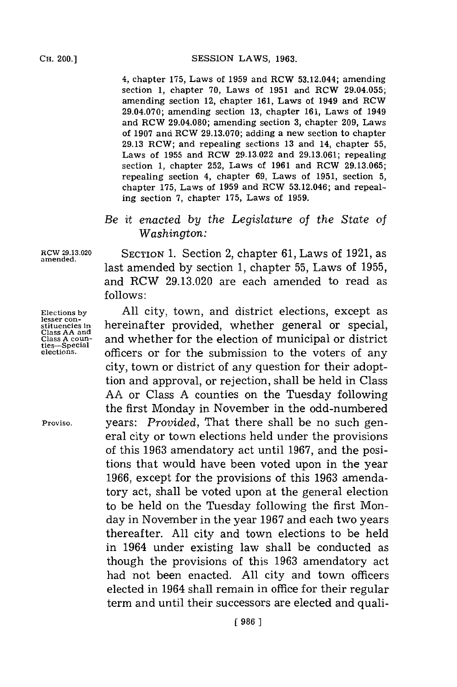CH. **00.]SESSION** LAWS, **1963.**

4, chapter **175,** Laws of **1959** and RCW 53.12.044; amending section **1,** chapter **70,** Laws of **1951** and RCW 29.04.055; amending section 12, chapter **161,** Laws of 1949 and RCW 29.04.070; amending section **13,** chapter **161,** Laws of 1949 and RCW 29.04.080; amending section **3,** chapter **209,** Laws of **1907** and RCW **29.13.070;** adding a new section to chapter **29.13** RCW; and repealing sections **13** and 14, chapter **55,** Laws of **1955** and RCW **29.13.022** and **29.13.061;** repealing section **1,** chapter **252,** Laws of **1961** and RCW **29.13.065;** repealing section 4, chapter **69,** Laws of **1951,** section **5,** chapter **175,** Laws of **1959** and RCW **53.12.046;** and repealing section **7,** chapter **175,** Laws of **1959.**

## *Be it enacted by the Legislature of the State of Washington:*

stituencies in<br>Class AA and<br>Class A coun-<br>ties--Special<br>elections.

RCW **29.13.020** SECTION **1.** Section 2, chapter **61,** Laws of **1921,** as amended. last amended **by** section **1,** chapter **55,** Laws of **1955,** and RCW **29.13.020** are each amended to read as **f ollows:**

Elections by All city, town, and district elections, except as lesser con-<br>stituencies in hereinafter provided, whether general or special, and whether for the election of municipal or district officers or for the submission to the voters of any city, town or district of any question for their adopttion and approval, or rejection, shall be held in Class **AA** or Class **A** counties on the Tuesday following the first Monday in November in the odd-numbered Proviso. years: *Provided,* That there shall be no such general city or town elections held under the provisions of this **1963** amendatory act until **1967,** and the positions that would have been voted upon in the year **1966,** except for the provisions of this **1963** amendatory act, shall be voted upon at the general election to be held on the Tuesday following the first Monday in November in the year **1967** and each two years thereafter. **All** city and town elections to be held in 1964 under existing law shall be conducted as though the provisions of this **1963** amendatory act had not been enacted. **All** city and town officers elected in 1964 shall remain in office for their regular term and until their successors are elected and quali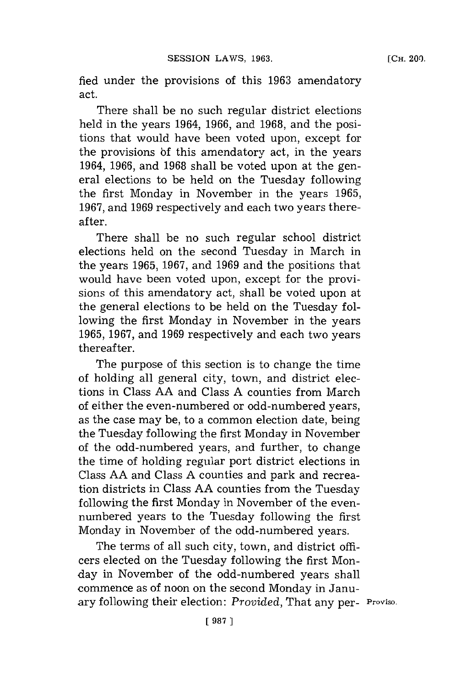fied under the provisions of this 1963 amendatory act.

There shall be no such regular district elections held in the years 1964, **1966,** and **1968,** and the positions that would have been voted upon, except for the provisions **bf** this amendatory act, in the years 1964, **1966,** and **1968** shall be voted upon at the general elections to be held on the Tuesday following the first Monday in November in the years **1965, 1967,** and **1969** respectively and each two years thereafter.

There shall be no such regular school district elections held on the second Tuesday in March in the years **1965, 1967,** and **1969** and the positions that would have been voted upon, except for the provisions of this amendatory act, shall be voted upon at the general elections to be held on the Tuesday following the first Monday in November in the years **1965, 1967,** and **1969** respectively and each two years thereafter.

The purpose of this section is to change the time of holding all general city, town, and district elections in Class **AA** and Class **A** counties from March of either the even-numbered or odd-numbered years, as the case may be, to a common election date, being the Tuesday following the first Monday in November of the odd-numbered years, and further, to change the time of holding regular port district elections in Class **AA** and Class **A** counties and park and recreation districts in Class **AA** counties from the Tuesday following the first Monday in November of the evennumbered years to the Tuesday following the first Monday in November of the odd-numbered years.

The terms of all such city, town, and district officers elected on the Tuesday following the first Monday in November of the odd-numbered years shall commence as of noon on the second Monday in January following their election: *Provided,* That any per- Proviso.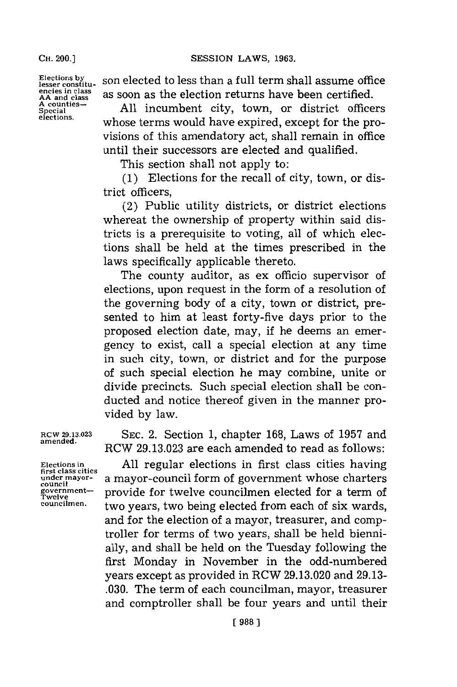**CH.** 200.]

**Elections by lesser constituencies in class AA and class A counties-Special elections.**

son elected to less than a full term shall assume office as soon as the election returns have been certified.

**All** incumbent city, town, or district officers whose terms would have expired, except for the provisions of this amendatory act, shall remain in office until their successors are elected and qualified.

This section shall not apply to:

**(1)** Elections for the recall of city, town, or district officers,

(2) Public utility districts, or district elections whereat the ownership of property within said districts is a prerequisite to voting, all of which elections shall be held at the times prescribed in the laws specifically applicable thereto.

The county auditor, as ex officio supervisor of elections, upon request in the form of a resolution of the governing body of a city, town or district, presented to him at least forty-five days prior to the proposed election date, may, if he deems an emergency to exist, call a special election at any time in such city, town, or district and for the purpose of such special election he may combine, unite or divide precincts. Such special election shall be conducted and notice thereof given in the manner provided **by** law.

**RCW 29.13.023 SEC.** 2. Section **1,** chapter **168,** Laws of **1957** and **amended.** RCW **29.13.023** are each amended to read as follows:

**Elections in All** regular elections in first class cities having **first class cities** under mayor-<br>council<br>government—<br>Twelve **mayor-council form** of government whose charters<br> $\frac{goverm{m}}{I$  welve provide for twelve councilmen elected for a term of **councilmen,** two years, two being elected from each of six wards, and for the election of a mayor, treasurer, and comptroller for terms of two years, shall be held biennially, and shall be held on the Tuesday following the first Monday in November in the odd-numbered years except as provided in RCW **29. 13.020** and **29.13- .030.** The term of each councilman, mayor, treasurer and comptroller shall be four years and until their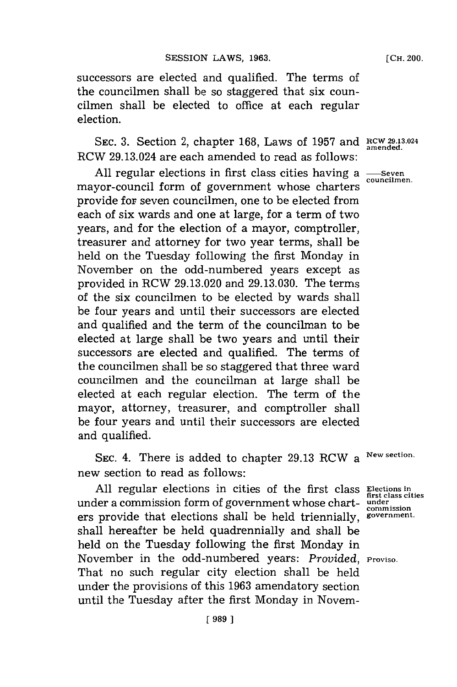**[CH.** 200.

successors are elected and qualified. The terms of the councilmen shall be so staggered that six councilmen shall be elected to office at each regular election.

SEC. 3. Section 2, chapter 168, Laws of 1957 and **RCW 29.13.024** *amended.* RCW 29.13.024 are each amended to read as follows:

All regular elections in first class cities having a  $\frac{S_{\text{even}}}{\text{councilmen}}}$ mayor-council form of government whose charters provide for seven councilmen, one to be elected from each of six wards and one at large, **for** a term of two years, and for the election of a mayor, comptroller, treasurer and attorney for two year terms, shall be held on the Tuesday following the first Monday in November on the odd-numbered years except as provided in RCW **29.13.020** and **29.13.030.** The terms of the six councilmen to be elected **by** wards shall be four years and until their successors are elected and qualified and the term of the councilman to be elected at large shall be two years and until their successors are elected and qualified. The terms of the councilmen shall be so staggered that three ward councilmen and the councilman at large shall be elected at each regular election. The term of the mayor, attorney, treasurer, and comptroller shall be four years and until their successors are elected and qualified.

**SEC.** 4. There is added to chapter **29.13** RCW a **New section.** new section to read as follows:

All regular elections in cities of the first class **Elections** in **first class** cities **first class cities** under a commission form of government whose chart- **under. commission** ers provide that elections shall be held triennially, government. shall hereafter be held quadrennially and shall be held on the Tuesday following the first Monday in November in the odd-numbered years: Provided, Proviso. That no such regular city election shall be held under the provisions of this **1963** amendatory section until the Tuesday after the first Monday in Novem-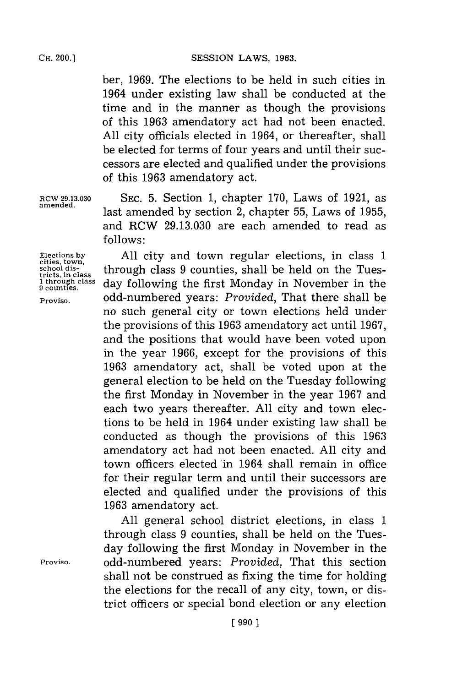SESSION LAWS, 1963.

ber, **1969.** The elections to be held in such cities in 1964 under existing law shall be conducted at the time and in the manner as though the provisions of this **1963** amendatory act had not been enacted. **All** city officials elected in 1964, or thereafter, shall be elected for terms of four years and until their successors are elected and qualified under the provisions of this **1963** amendatory act.

**RCW 29.13.030 SEC. 5.** Section **1,** chapter **170,** Laws of **1921,** as last amended by section 2, chapter 55, Laws of 1955, and RCW **29.13.030** are each amended to read as **f ollows:**

**cities, town.**

**Elections by All** city and town regular elections, in class **1** school dis-<br>tricts, in class **through class 9 counties, shall be held on the Tues-**<br>through class day following the first Monday in November in the **1 through class** day following the first Monday in November in the **Proviso,** odd-numbered years: *Provided,* That there shall be no such general city or town elections held under the provisions of this **1963** amendatory act until **1967,** and the positions that would have been voted upon in the year 1966, except for the provisions of this **1963** amendatory act, shall be voted upon at the general election to be held on the Tuesday following the first Monday in November in the year **1967** and each two years thereafter. **All** city and town elections to be held in 1964 under existing law shall be conducted as though the provisions of this **1963** amendatory act had not been enacted. **All** city and town officers elected in 1964 shall remain in office for their regular term and until their successors are elected and qualified under the provisions of this **1963** amendatory act.

**All** general school district elections, in class **1** through class **9** counties, shall be held on the Tuesday following the first Monday in November in the **Proviso.** odd-numbered years: *Provided,* That this section shall not be construed as fixing the time for holding the elections for the recall of any city, town, or district officers or special bond election or any election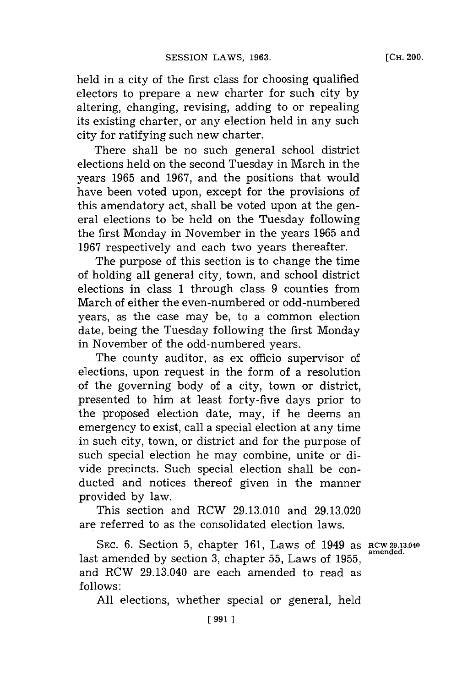held in a city of the first class for choosing qualified electors to prepare a new charter for such city **by** altering, changing, revising, adding to or repealing its existing charter, or any election held in any such city for ratifying such new charter.

There shall be no such general school district elections held on the second Tuesday in March in the years **1965** and **1967,** and the positions that would have been voted upon, except for the provisions of this amendatory act, shall be voted upon at the general elections to be held on the Tuesday following the first Monday in November in the years **1965** and **1967** respectively and each two years thereafter.

The purpose of this section is to change the time of holding all general city, town, and school district elections in class **1** through class **9** counties from March of either the even-numbered or odd-numbered years, as the case may be, to a common election date, being the Tuesday following the first Monday in November of the odd-numbered years.

The county auditor, as ex officio supervisor of elections, upon request in the form of a resolution of the governing body of a city, town or district, presented to him at least forty-five days prior to the proposed election date, may, if he deems an emergency to exist, call a special election at any time in such city, town, or district and for the purpose of such special election he may combine, unite or divide precincts. Such special election shall be conducted and notices thereof given in the manner provided **by** law.

This section and RCW **29.13.010** and **29.13.020** are referred to as the consolidated election laws.

**SEC. 6.** Section **5,** chapter **161,** Laws of 1949 as **RCW 29.13.040 amended,** last amended **by** section **3,** chapter **55,** Laws of **1955 ,** and RCW 29.13.040 are each amended to read as **f ollows:**

**All** elections, whether special or general, held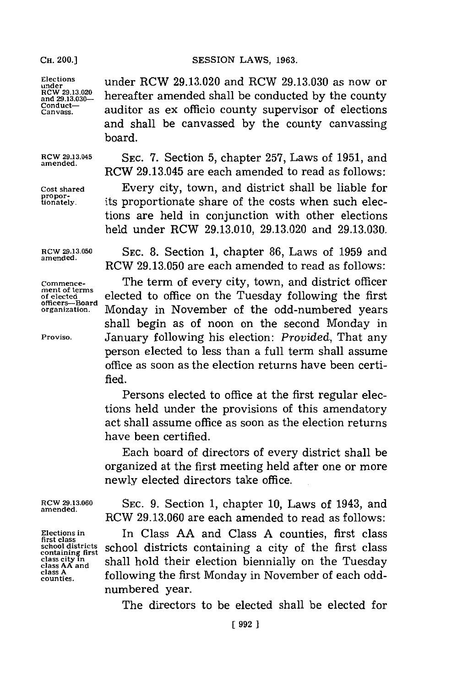**merit of terms officers--Board**

SESSION LAWS, 1963.

Elections under RCW 29.13.020 and RCW 29.13.030 as now or<br>
RCW 29.13.020 **boxes homogeneous** aboll be conducted by the country RCW 29.13.020<br>and 29.13.030-**hereafter amended shall be conducted by the county <b>Conduct-**<br>Canvass, **Canvass,** auditor as ex officio county supervisor of elections and shall be canvassed **by** the county canvassing board.

**RCW 29.13.045** SEC. **7.** Section **5,** chapter **257,** Laws of **1951,** and **amended.** RCW 29.13.045 are each amended to read as follows:

**Cost shared** Every city, town, and district shall be liable for its proportionate share of the costs when such elections are held in conjunction with other elections held under RCW **29.13.010, 29.13.020** and **29.13.030.**

**RCW 29.13.050 SEC. 8.** Section **1,** chapter **86,** Laws of **1959** and **amended.** RCW **29.13.050** are each amended to read as follows:

**Commence-** The term of every city, town, and district officer **of elected** elected to office on the Tuesday following the first Monday in November of the odd-numbered years shall begin as of noon on the second Monday in **Proviso.** January following his election: *Provided,* That any person elected to less than a full term shall assume office as soon as the election returns have been certified.

> Persons elected to office at the first regular elections held under the provisions of this amendatory act shall assume office as soon as the election returns have been certified.

> Each board of directors of every district shall be organized at the first meeting held after one or more newly elected directors take office.

**class A**

**RCW 29.13.060** SEC. **9.** Section **1,** chapter **10,** Laws of 1943, and **amended.** RCW **29.13.060** are each amended to read as follows:

**Elections in** In Class **AA** and Class **A** counties, first class **first class** school districts school districts containing a city of the first class chase ity in school districts class class city in class city in class AA and shall hold their election biennially on the Tuesday class A following the first Monday in November of each oddnumbered year.

The directors to be elected shall be elected for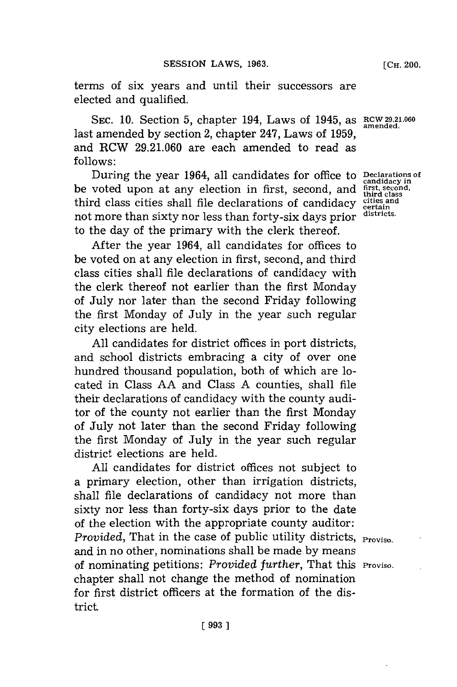terms of six years and until their successors are elected and qualified.

SEC. 10. Section 5, chapter 194, Laws of 1945, as  $RCW$  29.21.060 **amended.** last amended **by** section 2, chapter 247, Laws of **1959,** and RCW **29.21.060** are each amended to read as **follows:**

During the year 1964, all candidates for office to **Declarations of** voted upon at any election in first, second, and first second, the class cities shall file declarations of candidacy cities and class cities shall file d be voted upon at any election in first, second, and **fist, second,** third class cities shall file declarations of candidacy cities and<br>not mean then citty non loss than forty city deve nuion, districts. not more than sixty nor less than forty-six days prior to the day of the primary with the clerk thereof.

After the year 1964, all candidates for offices to be voted on at any election in first, second, and third class cities shall file declarations of candidacy with the clerk thereof not earlier than the first Monday of July nor later than the second Friday following the first Monday of July in the year such regular city elections are held.

**All** candidates for district offices in port districts, and school districts embracing a city of over one hundred thousand population, both of which are located in Class **AA** and Class **A** counties, shall file their declarations of candidacy with the county auditor of the county not earlier than the first Monday of July not later than the second Friday following the first Monday of July in the year such regular district elections are held.

**All** candidates for district offices not subject to a primary election, other than irrigation districts, shall file declarations of candidacy not more than sixty nor less than forty-six days prior to the date of the election with the appropriate county auditor: *Provided*, That in the case of public utility districts, **Proviso.** and in no other, nominations shall be made **by** means of nominating petitions: *Provided further,* That this **Proviso.** chapter shall not change the method of nomination for first district officers at the formation of the district,

**candidacy in**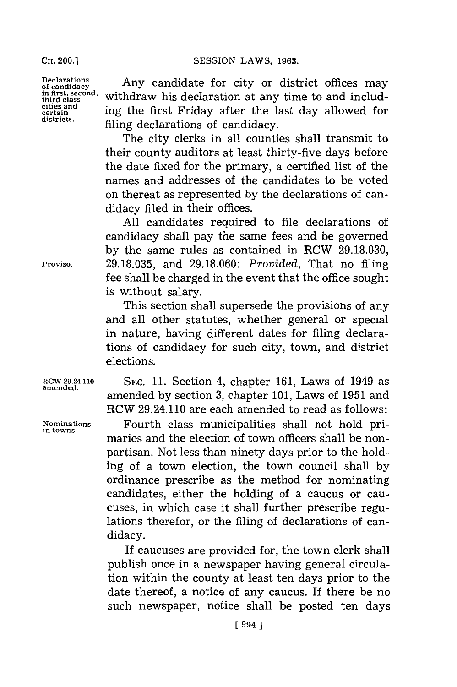**Declarations of candidacy in first, second, third class cities and certain d istricts.**

Any candidate for city or district offices may withdraw his declaration at any time to and including the first Friday after the last day allowed for filing declarations of candidacy.

The city clerks in all counties shall transmit to their county auditors at least thirty-five days before the date fixed for the primary, a certified list of the names and addresses of the candidates to be voted on thereat as represented **by** the declarations of candidacy filed in their offices.

**All** candidates required to file declarations of candidacy shall pay the same fees and be governed **by** the same rules as contained in RCW **29.18.030, 29.18.035,** and **29.18.060:** *Provided,* That no filing fee shall be charged in the event that the office sought is without salary.

This section shall supersede the provisions of any and all other statutes, whether general or special in nature, having different dates for filing declarations of candidacy for such city, town, and district elections.

**tCW 29.24.110 SEC. 11.** Section 4, chapter **161,** Laws of 1949 as amended **by** section **3,** chapter **101,** Laws of **1951** and RCW 29.24.110 are each amended to read as follows:

**Nominations** Fourth class municipalities shall not hold pri- **in towns.** maries and the election of town officers shall be nonpartisan. Not less than ninety days prior to the holding of a town election, the town council shall **by** ordinance prescribe as the method for nominating candidates, either the holding of a caucus or caucuses, in which case it shall further prescribe regulations therefor, or the filing of declarations of candidacy.

> If caucuses are provided for, the town clerk shall publish once in a newspaper having general circulation within the county at least ten days prior to the date thereof, a notice of any caucus. If there be no such newspaper, notice shall be posted ten days

**amended.**

**Proviso.**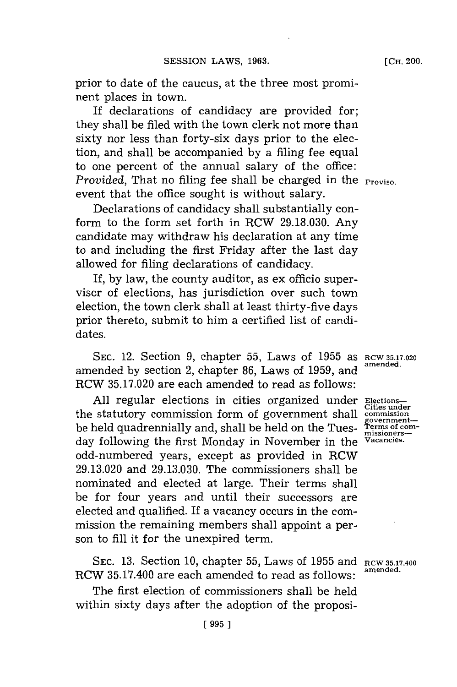**[CH.** 200.

prior to date of the caucus, at the three most prominent places in town.

If declarations of candidacy are provided for; they shall be filed with the town clerk not more than sixty nor less than forty-six days prior to the election, and shall be accompanied **by** a filing fee equal to one percent of the annual salary of the office: *Provided*, That no filing fee shall be charged in the **Proviso.** event that the office sought is without salary.

Declarations of candidacy shall substantially conform to the form set forth in RCW 29.18.030. Any candidate may withdraw his declaration at any time to and including the first Friday after the last day allowed **for** filing declarations of candidacy.

If, **by** law, the county auditor, as ex officio supervisor of elections, has jurisdiction over such town election, the town clerk shall at least thirty-five days prior thereto, submit to him a certified list of candidates.

SEC. 12. Section 9, chapter 55, Laws of 1955 as RCW 35.17.020 amended **by** section 2, chapter **86,** Laws of **1959,** and **amended,** RCW **35.17.020** are each amended to read as follows:

**All** regular elections in cities organized under **Elections**the statutory commission form of government shall **commission** be held quadrennially and, shall be held on the Tues- **Terms of comment** day following the first Monday in November in the **Vacancies.** odd-numbered years, except as provided in RCW **29.13.020** and **29.13.030.** The commissioners shall be nominated and elected at large. Their terms shall be for four years and until their successors are elected and qualified. If a vacancy occurs in the commission the remaining members shall appoint a person to **fill** it for the unexpired term.

**SEC. 13.** Section **10,** chapter **55,** Laws of **1955** and **RCW 35.17.400** RCW 35.17.400 are each amended to read as follows:

The first election of commissioners shall be held within sixty days after the adoption of the proposi-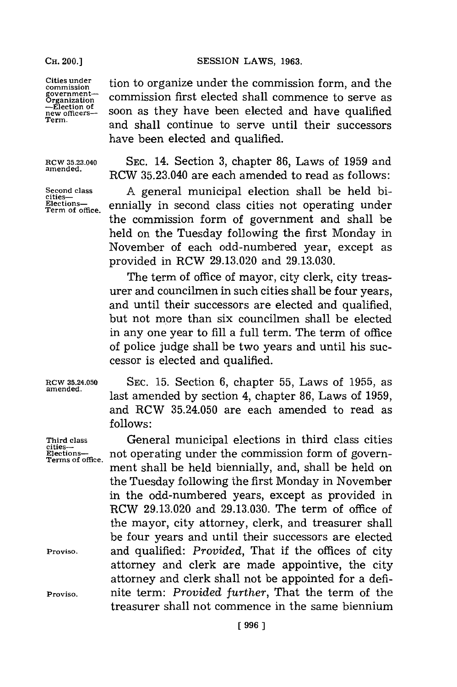**CH. 00.]SESSION** LAWS, **1963.**

**Third class cities-Elections-**

**Proviso.**

**Proviso.**

Cities under<br>
commission<br> **Cities under**<br>
Commission first elected shall commence to serve as<br>  $\frac{1}{n}$ <br>  $\frac{1}{n}$   $\frac{1}{n}$ <br>  $\frac{1}{n}$   $\frac{1}{n}$ <br>  $\frac{1}{n}$   $\frac{1}{n}$   $\frac{1}{n}$   $\frac{1}{n}$   $\frac{1}{n}$   $\frac{1}{n}$   $\frac{1}{n}$   $\frac{$ commission first elected shall commence to serve as **-Election of new officers-** soon as they have been elected and have qualified **Term.** and shall continue to serve until their successors have been elected and qualified.

Rcw **35.23.040 SEC.** 14. Section **3,** chapter **86,** Laws of **1959** and **amended.** RCW 35.23.040 are each amended to read as follows:

Second class **A** general municipal election shall be held bi-<br>
<u>cities</u><br>
<u>Elections-</u> ennially in second class cities not operating under Elections-**Rections-** ennially in second class cities not operating under the commission form of government and shall be held on the Tuesday following the first Monday in November of each odd-numbered year, except as provided in ROW **29.13.020** and **29.13.030.**

> The term of office of mayor, city clerk, city treasurer and councilmen in such cities shall be four years, and until their successors are elected and qualified, but not more than six councilmen shall be elected in any one year to **fill** a full term. The term of office of police judge shall be two years and until his successor is elected and qualified.

**RCW 35.24.050 SEC. 15.** Section **6,** chapter **55,** Laws of **1955,** as last amended by section 4, chapter 86, Laws of 1959, and RCW **35.24.050** are each amended to read as **follows:**

not operating under the commission form of government shall be held biennially, and, shall be held on the Tuesday following the first Monday in November in the odd-numbered years, except as provided in RCW **29.13.020** and **29.13.030.** The term of office of the mayor, city attorney, clerk, and treasurer shall be four years and until their successors are elected and qualified: *Provided,* That if the offices of city attorney and clerk are made appointive, the city attorney and clerk shall not be appointed for a definite term: *Provided further,* That the term of the treasurer shall not commence in the same biennium **Terms of office.**

General municipal elections in third class cities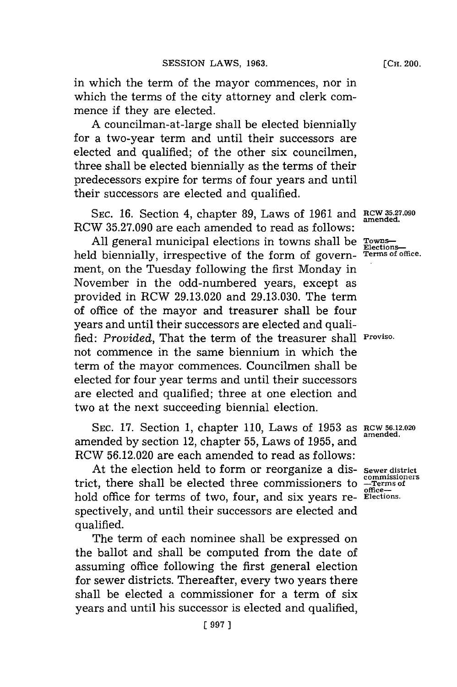in which the term of the mayor commences, nor in which the terms of the city attorney and clerk commence if they are elected.

**A** councilman-at-large shall be elected biennially for a two-year term and until their successors are elected and qualified; of the other six councilmen, three shall be elected biennially as the terms of their predecessors expire for terms of four years and until their successors are elected and qualified.

**SEC. 16.** Section 4, chapter **89,** Laws of **1961** and RCW **35-27.090** RCW **35.27.090** are each amended to read as follows:

All general municipal elections in towns shall be Towns held biennially, irrespective of the form of govern- **Terms** of office. ment, on the Tuesday following the first Monday in November in the odd-numbered years, except as provided in RCW **29.13.020** and **29.13.030.** The term of office of the mayor and treasurer shall be four years and until their successors are elected and qualified: *Provided,* That the term of the treasurer shall **Proviso.** not commence in the same biennium in which the term of the mayor commences. Councilmen shall be elected for four year terms and until their successors are elected and qualified; three at one election and two at the next succeeding biennial election.

**SEC. 17.** Section **1,** chapter **110,** Laws of **1953** as **RCW6.2. <sup>2</sup> <sup>0</sup>** amended **by** section 12, chapter **55,** Laws of **1955,** and RCW **56.12.020** are each amended to read as follows:

At the election held to form or reorganize a dis- sewer district<br>commissioners trict, there shall be elected three commissioners to  $\frac{\text{commissior}}{\text{office}-}$ hold office for terms of two, four, and six years re- **Elections**. spectively, and until their successors are elected and qualified.

The term of each nominee shall be expressed on the ballot and shall be computed from the date of assuming office following the first general election for sewer districts. Thereafter, every two years there shall be elected a commissioner for a term of six years and until his successor is elected and qualified,

**amended.**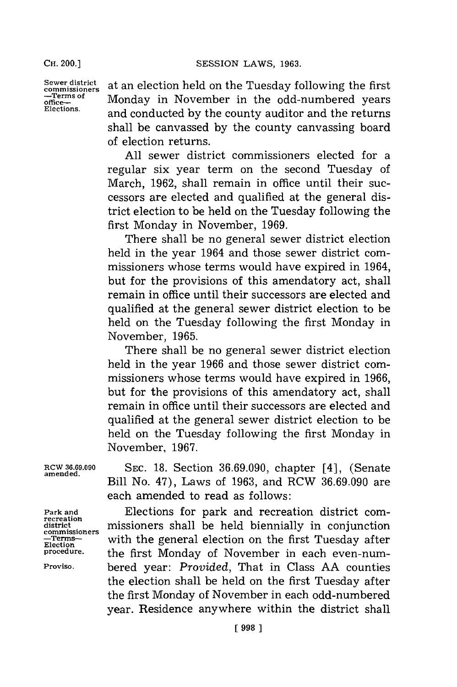**CH.** 200.]

**-Terms of office-Elections.**

**Sewer district commissioners** at an election held on the Tuesday following the first Monday in November in the odd-numbered years and conducted **by** the county auditor and the returns shall be canvassed **by** the county canvassing board of election returns.

> **All** sewer district commissioners elected for a regular six year term on the second Tuesday of March, **1962,** shall remain in office until their successors are elected and qualified at the general district election to be held on the Tuesday following the first Monday in November, **1969.**

> There shall be no general sewer district election held in the year 1964 and those sewer district commissioners whose terms would have expired in 1964, but for the provisions of this amendatory act, shall remain in office until their successors are elected and qualified at the general sewer district election to be held on the Tuesday following the first Monday in November, **1965.**

> There shall be no general sewer district election held in the year **1966** and those sewer district commissioners whose terms would have expired in **1966,** but for the provisions of this amendatory act, shall remain in office until their successors are elected and qualified at the general sewer district election to be held on the Tuesday following the first Monday in November, **1967.**

**RCW 36.69.090 SEC. 18.** Section **36.69.090,** chapter [41, (Senate **amended.** Bill No. 47), Laws of **1963,** and RCW **36.69.090** are each amended to read as follows:

**Park and** Elections for park and recreation district com- **recreation district .** missioners shall be held biennially in conjunction **commissioners** with the general election on the first Tuesday after the first Monday of November in each even-num-**Proviso.** bered year: *Provided,* That in Class **AA** counties the election shall be held on the first Tuesday after the first Monday of November in each odd-numbered year. Residence anywhere within the district shall

**Election**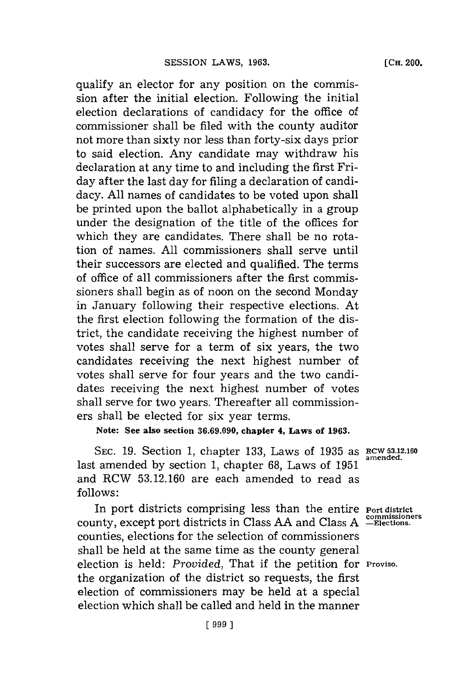qualify an elector for any position on the commission after the initial election. Following the initial election declarations of candidacy for the office of commissioner shall be filed with the county auditor not more than sixty nor less than forty-six days prior to said election. Any candidate may withdraw his declaration at any time to and including the first Friday after the last day for filing a declaration of candidacy. **All** names of candidates to be voted upon shall be printed upon the ballot alphabetically in a group under the designation of the title of the offices for which they are candidates. There shall be no rotation of names. **All** commissioners shall serve until their successors are elected and qualified. The terms of office of all commissioners after the first commissioners shall begin as of noon on the second Monday in January following their respective elections. At the first election following the formation of the district, the candidate receiving the highest number of votes shall serve for a term of six years, the two candidates receiving the next highest number of votes shall serve for four years and the two candidates receiving the next highest number of votes shall serve for two years. Thereafter all commissioners shall be elected for six year terms.

**Note: See also section 36.69.090, chapter 4, Laws of 1963.**

**SEC. 19.** Section 1, chapter **133,** Laws of **1935** as **RCW 53.12.160 amended.** last amended **by** section **1,** chapter **68,** Laws of **1951** and RCW **53.12.160** are each amended to read as **follows:**

In port districts comprising less than the entire **Port district** county, except port districts in Class AA and Class A -Elections. counties, elections for the selection of commissioners shall be held at the same time as the county general election is held: *Provided,* That if the petition for **Proviso.** the organization of the district so requests, the first election of commissioners may be held at a special election which shall be called and held in the manner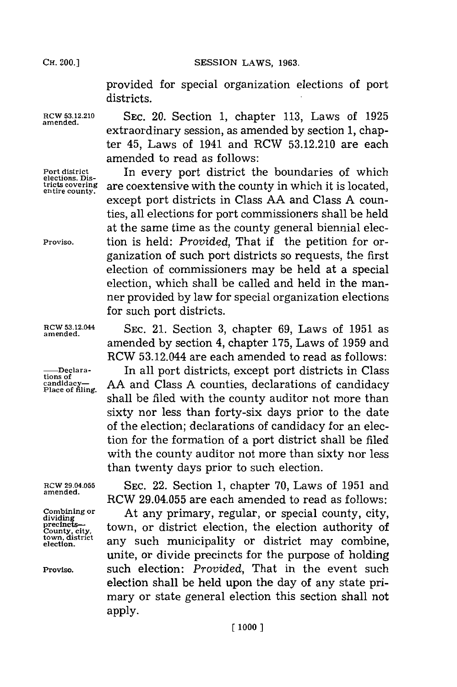CH. **00.]SESSION** LAWS, **1963.**

provided for special organization elections of port districts.

**elections. Dis-**

**RCW 53.12.210 SEC.** 20. Section **1,** chapter **113,** Laws of **1925** extraordinary session, as amended by section 1, chapter 45, Laws of 1941 and RCW **53.12.210** are each amended to read as follows:

**Port district** In every port district the boundaries of which **tricts covering** are coextensive with the county in which it is located, **entire county.** except port districts in Class **AA** and Class **A** counties, all elections for port commissioners shall be held at the same time as the county general biennial elec-Proviso. **tion is held:** *Provided*, That if the petition for organization of such port districts so requests, the first election of commissioners may be held at a special election, which shall be called and held in the manner provided by law for special organization elections for such port districts.

**amended.**

tions of<br>candidacy—<br>Place of filing.

dividing<br>
precincts—<br>
county, city,<br>
town, district<br>
election.

**RCW 53.12.044 SEC.** 21. Section **3,** chapter **69,** Laws of **1951** as amended **by** section 4, chapter **175,** Laws of **1959** and RCW 53.12.044 are each amended to read as follows:

**-Declara-** In all port districts, except port districts in Class AA and Class A counties, declarations of candidacy shall be filed with the county auditor not more than sixty nor less than forty-six days prior to the date of the election; declarations of candidacy for an election for the formation of a port district shall be filed with the county auditor not more than sixty nor less than twenty days prior to such election.

**RCW 29.04.055 SEC.** 22. Section **1,** chapter **70,** Laws of **1951** and RCW 29.04.055 are each amended to read as follows:

**Combining or** At any primary, regular, or special county, city, town, or district election, the election authority of any such municipality or district may combine, unite, or divide precincts for the purpose of holding **Proviso,** such election: *Provided,* That in the event such election shall be held upon the day of any state primary or state general election this section shall not apply.